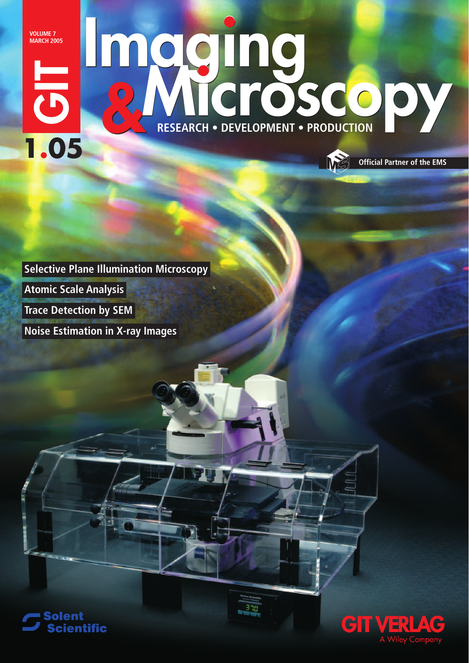**VOLUME 7 MARCH 2005**

# **Imaging EXERCIT - DEVELOPMENT - PRODUCTION**<br> **Noise Estimation in X-ray Images**<br>
Noise Estimation in X-ray Images **1.05 RESEARCH • DEVELOPMENT • PRODUCTION Imaging** RESEARCH • DEVELOPMENT • PRODUCTION

378

**Selective Plane Illumination Microscopy Atomic Scale Analysis Trace Detection by SEM**





**Official Partner of the EMS**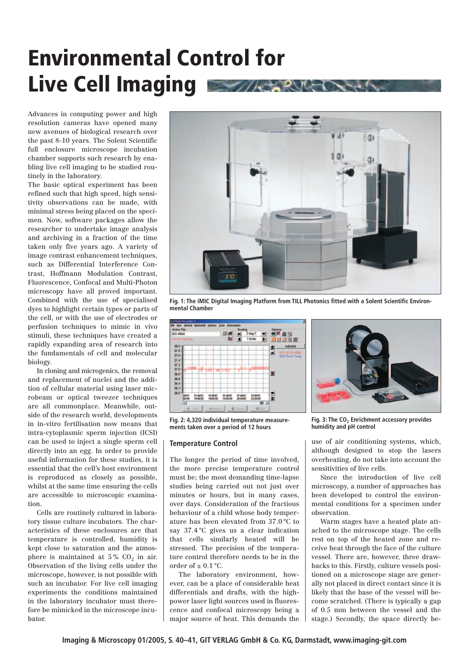## **Environmental Control for Live Cell Imaging**

Advances in computing power and high resolution cameras have opened many new avenues of biological research over the past 8-10 years. The Solent Scientific full enclosure microscope incubation chamber supports such research by enabling live cell imaging to be studied routinely in the laboratory.

The basic optical experiment has been refined such that high speed, high sensitivity observations can be made, with minimal stress being placed on the specimen. Now, software packages allow the researcher to undertake image analysis and archiving in a fraction of the time taken only five years ago. A variety of image contrast enhancement techniques, such as Differential Interference Contrast, Hoffmann Modulation Contrast, Fluorescence, Confocal and Multi-Photon microscopy have all proved important. Combined with the use of specialised dyes to highlight certain types or parts of the cell, or with the use of electrodes or perfusion techniques to mimic in vivo stimuli, these techniques have created a rapidly expanding area of research into the fundamentals of cell and molecular biology.

In cloning and microgenics, the removal and replacement of nuclei and the addition of cellular material using laser microbeam or optical tweezer techniques are all commonplace. Meanwhile, outside of the research world, developments in in-vitro fertilisation now means that intra-cytoplasmic sperm injection (ICSI) can be used to inject a single sperm cell directly into an egg. In order to provide useful information for these studies, it is essential that the cell's host environment is reproduced as closely as possible, whilst at the same time ensuring the cells are accessible to microscopic examination.

Cells are routinely cultured in laboratory tissue culture incubators. The characteristics of these enclosures are that temperature is controlled, humidity is kept close to saturation and the atmosphere is maintained at  $5\%$  CO<sub>2</sub> in air. Observation of the living cells under the microscope, however, is not possible with such an incubator. For live cell imaging experiments the conditions maintained in the laboratory incubator must therefore be mimicked in the microscope incubator.



**Fig. 1: The iMIC Digital Imaging Platform from TILL Photonics fitted with a Solent Scientific Environmental Chamber**



**Fig. 2: 4,320 individual temperature measurements taken over a period of 12 hours**

#### **Temperature Control**

The longer the period of time involved, the more precise temperature control must be; the most demanding time-lapse studies being carried out not just over minutes or hours, but in many cases, over days. Consideration of the fractious behaviour of a child whose body temperature has been elevated from 37.0 °C to say 37.4 °C gives us a clear indication that cells similarly heated will be stressed. The precision of the temperature control therefore needs to be in the order of  $\pm$  0.1 °C.

The laboratory environment, however, can be a place of considerable heat differentials and drafts, with the highpower laser light sources used in fluorescence and confocal microscopy being a major source of heat. This demands the



Fig. 3: The CO<sub>2</sub> Enrichment accessory provides **humidity and pH control**

use of air conditioning systems, which, although designed to stop the lasers overheating, do not take into account the sensitivities of live cells.

Since the introduction of live cell microscopy, a number of approaches has been developed to control the environmental conditions for a specimen under observation.

Warm stages have a heated plate attached to the microscope stage. The cells rest on top of the heated zone and receive heat through the face of the culture vessel. There are, however, three drawbacks to this. Firstly, culture vessels positioned on a microscope stage are generally not placed in direct contact since it is likely that the base of the vessel will become scratched. (There is typically a gap of 0.5 mm between the vessel and the stage.) Secondly, the space directly be